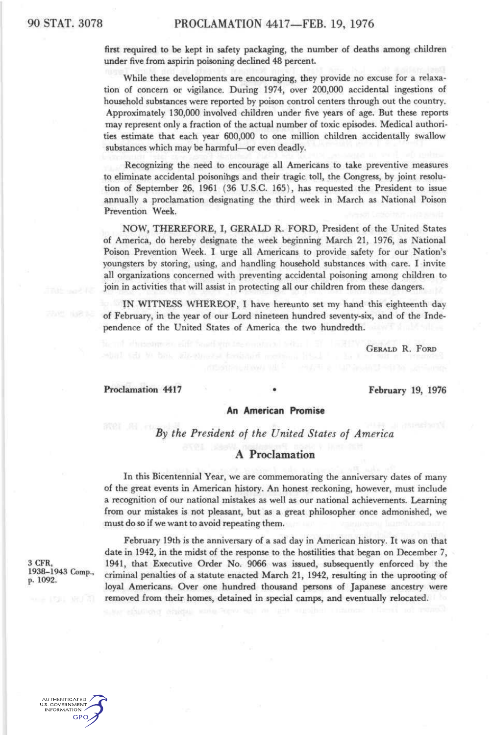**first required to be** kept **in safety packaging,** the **number of deaths among** children **under** five from aspirin poisoning declined 48 percent.

While these developments are encouraging, they provide no excuse for a relaxation of concern or vigilance. During 1974, over 200,000 accidental ingestions of household substances were reported by poison control centers through out the country. Approximately 130,000 involved children under five years of age. But these reports may represent only a fraction of the actual number of toxic episodes. Medical authorities estimate that each year 600,000 to one million children accidentally swallow substances which may be harmful—or even deadly.

Recognizing the need to encourage all Americans to take preventive measures to eliminate accidental poisonihgs and their tragic toll, the Congress, by joint resolution of September 26, 1961 (36 U.S.C. 165), has requested the President to issue annually a proclamation designating the third week in March as National Poison Prevention Week.

NOW, THEREFORE, I, GERALD R. FORD, President of the United States of America, do hereby designate the week beginning March 21, 1976, as National Poison Prevention Week. I urge all Americans to provide safety for our Nation's youngsters by storing, using, and handling household substances with care. I invite all organizations concerned with preventing accidental poisoning among children to join in activities that will assist in protecting all our children from these dangers.

IN WITNESS WHEREOF, I have hereunto set my hand this eighteenth day of February, in the year of our Lord nineteen hundred seventy-six, and of the Independence of the United States of America the two hundredth.

GERALD R. FORD

Proclamation 4417 **• February 19, 1976** 

### **An American Promise**

*By the President of the United States of America* 

# *A* **Proclamation**

In this Bicentennial Year, we are commemorating the anniversary dates of many of the great events in American history. An honest reckoning, however, must include a recognition of our national mistakes as well as our national achievements. Learning from our mistakes is not pleasant, but as a great philosopher once admonished, we must do so if we want to avoid repeating them.

February 19th is the anniversary of a sad day in American history. It was on that date in 1942, in the midst of the response to the hostilities that began on December 7, 3 CFR, 1941, that Executive Order No. 9066 was issued, subsequently enforced by the 1938–1943 Comp. eximinal panalties of a statute appealed March 21, 1942 resulting in the upporting of <sup>1930–1943</sup> Comp., criminal penalties of a statute enacted March 21, 1942, resulting in the uprooting of  $p. 1092$ . loyal Americans. Over one hundred thousand persons of Japanese ancestry were removed from their homes, detained in special camps, and eventually relocated.